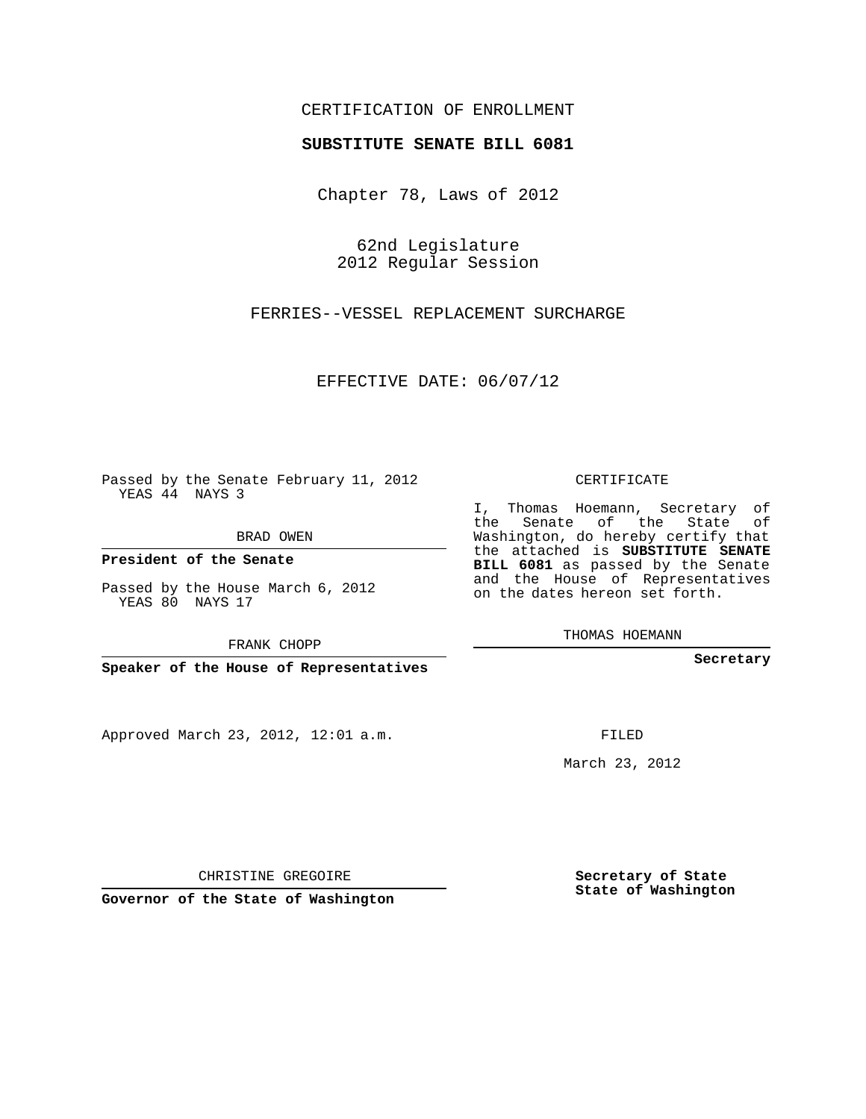## CERTIFICATION OF ENROLLMENT

## **SUBSTITUTE SENATE BILL 6081**

Chapter 78, Laws of 2012

62nd Legislature 2012 Regular Session

FERRIES--VESSEL REPLACEMENT SURCHARGE

EFFECTIVE DATE: 06/07/12

Passed by the Senate February 11, 2012 YEAS 44 NAYS 3

BRAD OWEN

**President of the Senate**

Passed by the House March 6, 2012 YEAS 80 NAYS 17

FRANK CHOPP

**Speaker of the House of Representatives**

Approved March 23, 2012, 12:01 a.m.

CERTIFICATE

I, Thomas Hoemann, Secretary of the Senate of the State of Washington, do hereby certify that the attached is **SUBSTITUTE SENATE BILL 6081** as passed by the Senate and the House of Representatives on the dates hereon set forth.

THOMAS HOEMANN

**Secretary**

FILED

March 23, 2012

**Secretary of State State of Washington**

CHRISTINE GREGOIRE

**Governor of the State of Washington**